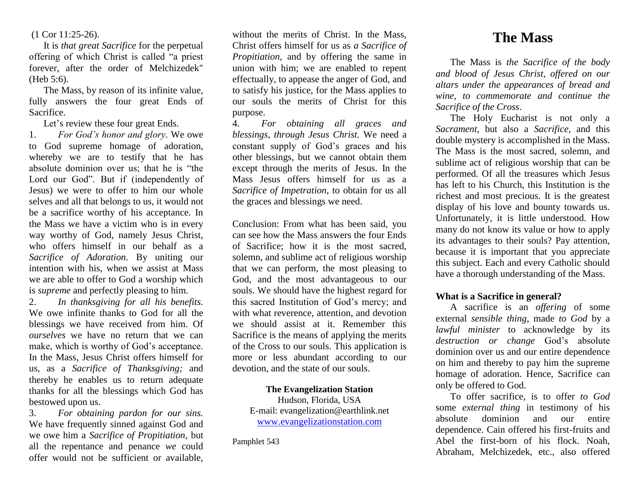(1 Cor 11:25-26).

It is *that great Sacrifice* for the perpetual offering of which Christ is called "a priest forever, after the order of Melchizedek" (Heb 5:6).

The Mass, by reason of its infinite value, fully answers the four great Ends of Sacrifice.

Let's review these four great Ends.

1. *For God's honor and glory.* We owe to God supreme homage of adoration, whereby we are to testify that he has absolute dominion over us; that he is "the Lord our God". But if (independently of Jesus) we were to offer to him our whole selves and all that belongs to us, it would not be a sacrifice worthy of his acceptance. In the Mass we have a victim who is in every way worthy of God, namely Jesus Christ, who offers himself in our behalf as a *Sacrifice of Adoration*. By uniting our intention with his, when we assist at Mass we are able to offer to God a worship which is *supreme* and perfectly pleasing to him.

2. *In thanksgiving for all his benefits.*  We owe infinite thanks to God for all the blessings we have received from him. Of *ourselves* we have no return that we can make, which is worthy of God's acceptance. In the Mass, Jesus Christ offers himself for us, as a *Sacrifice of Thanksgiving;* and thereby he enables us to return adequate thanks for all the blessings which God has bestowed upon us.

3. *For obtaining pardon for our sins.*  We have frequently sinned against God and we owe him a *Sacrifice of Propitiation,* but all the repentance and penance *we* could offer would not be sufficient or available,

without the merits of Christ. In the Mass, Christ offers himself for us as *a Sacrifice of Propitiation,* and by offering the same in union with him; we are enabled to repent effectually, to appease the anger of God, and to satisfy his justice, for the Mass applies to our souls the merits of Christ for this purpose.

4. *For obtaining all graces and blessings, through Jesus Christ.* We need a constant supply of God's graces and his other blessings, but we cannot obtain them except through the merits of Jesus. In the Mass Jesus offers himself for us as a *Sacrifice of Impetration*, to obtain for us all the graces and blessings we need.

Conclusion: From what has been said, you can see how the Mass answers the four Ends of Sacrifice; how it is the most sacred, solemn, and sublime act of religious worship that we can perform, the most pleasing to God, and the most advantageous to our souls. We should have the highest regard for this sacred Institution of God's mercy; and with what reverence, attention, and devotion we should assist at it. Remember this Sacrifice is the means of applying the merits of the Cross to our souls. This application is more or less abundant according to our devotion, and the state of our souls.

### **The Evangelization Station**

Hudson, Florida, USA E-mail: evangelization@earthlink.net [www.evangelizationstation.com](http://www.pjpiisoe.org/)

Pamphlet 543

# **The Mass**

The Mass is *the Sacrifice of the body and blood of Jesus Christ, offered on our altars under the appearances of bread and wine, to commemorate and continue the Sacrifice of the Cross*.

The Holy Eucharist is not only a *Sacrament*, but also a *Sacrifice*, and this double mystery is accomplished in the Mass. The Mass is the most sacred, solemn, and sublime act of religious worship that can be performed. Of all the treasures which Jesus has left to his Church, this Institution is the richest and most precious. It is the greatest display of his love and bounty towards us. Unfortunately, it is little understood. How many do not know its value or how to apply its advantages to their souls? Pay attention, because it is important that you appreciate this subject. Each and every Catholic should have a thorough understanding of the Mass.

# **What is a Sacrifice in general?**

A sacrifice is an *offering* of some external *sensible thing*, made *to God* by a *lawful minister* to acknowledge by its *destruction or change* God's absolute dominion over us and our entire dependence on him and thereby to pay him the supreme homage of adoration. Hence, Sacrifice can only be offered to God.

To offer sacrifice, is to offer *to God* some *external thing* in testimony of his absolute dominion and our entire dependence. Cain offered his first-fruits and Abel the first-born of his flock. Noah, Abraham, Melchizedek, etc., also offered